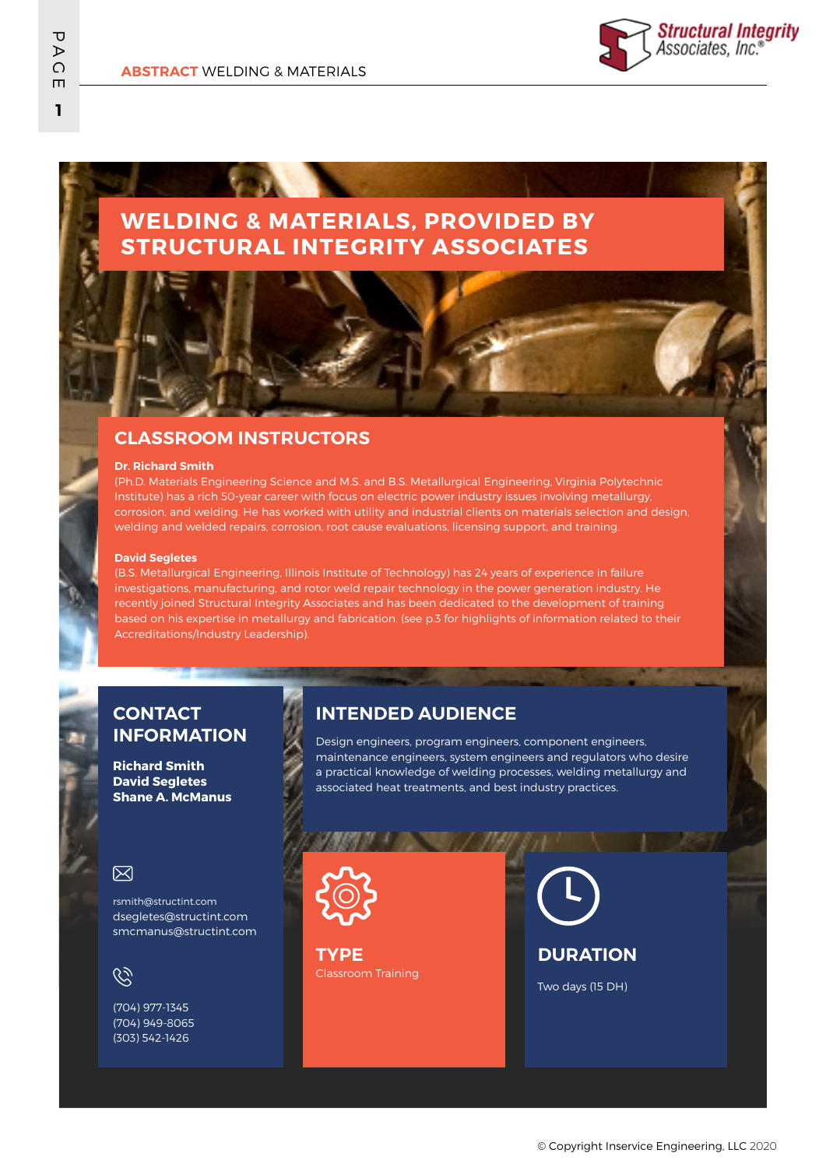# **WELDING & MATERIALS, PROVIDED BY STRUCTURAL INTEGRITY ASSOCIATES**

## **CLASSROOM INSTRUCTORS**

#### **Dr. Richard Smith**

(Ph.D. Materials Engineering Science and M.S. and B.S. Metallurgical Engineering, Virginia Polytechnic Institute) has a rich 50-year career with focus on electric power industry issues involving metallurgy, corrosion, and welding. He has worked with utility and industrial clients on materials selection and design, welding and welded repairs, corrosion, root cause evaluations, licensing support, and training.

#### **David Segletes**

(B.S. Metallurgical Engineering, Illinois Institute of Technology) has 24 years of experience in failure investigations, manufacturing, and rotor weld repair technology in the power generation industry. He recently joined Structural Integrity Associates and has been dedicated to the development of training based on his expertise in metallurgy and fabrication. (see p.3 for highlights of information related to their Accreditations/Industry Leadership).

## **CONTACT INFORMATION**

**Richard Smith David Segletes Shane A. McManus**

### 冈

rsmith@structint.com dsegletes@structint.com smcmanus@structint.com

# $\mathcal{C}$

(704) 977-1345 (704) 949-8065 (303) 542-1426

## **INTENDED AUDIENCE**

Design engineers, program engineers, component engineers, maintenance engineers, system engineers and regulators who desire a practical knowledge of welding processes, welding metallurgy and associated heat treatments, and best industry practices.



Classroom Training **TYPE**

**DURATION**

Two days (15 DH)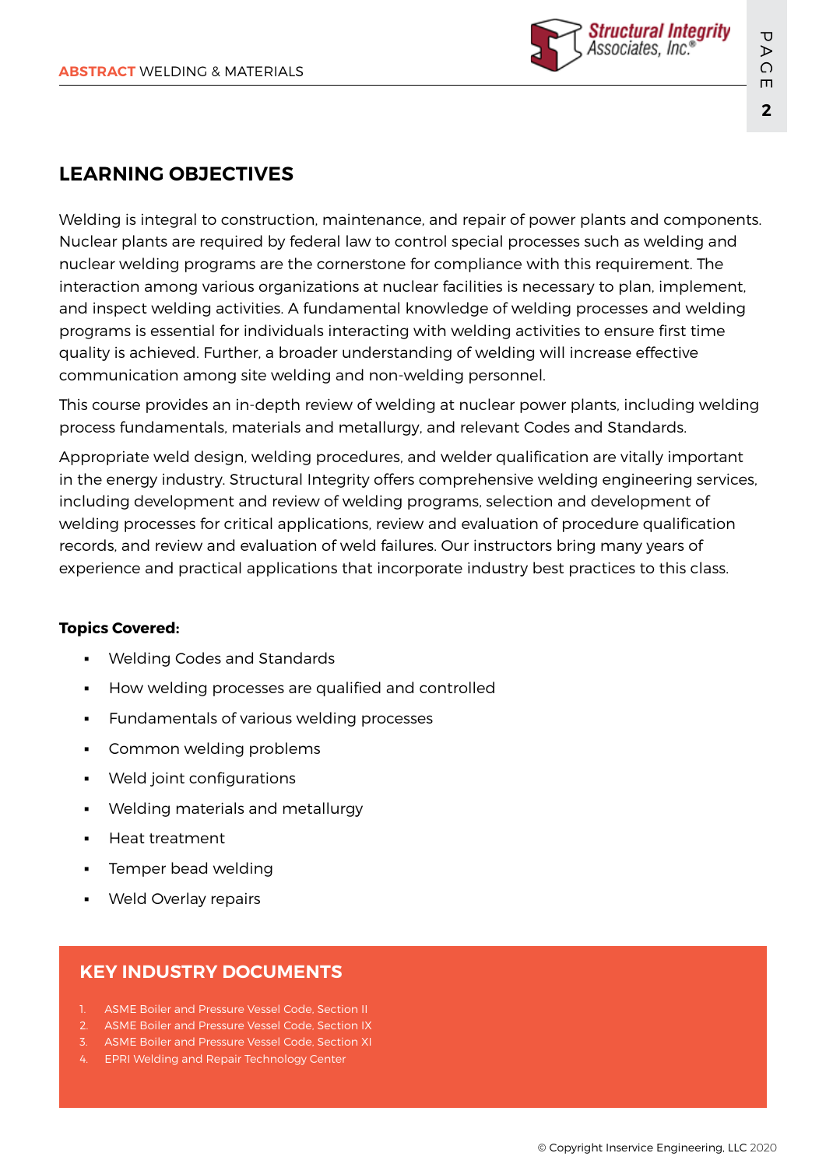

# **LEARNING OBJECTIVES**

Welding is integral to construction, maintenance, and repair of power plants and components. Nuclear plants are required by federal law to control special processes such as welding and nuclear welding programs are the cornerstone for compliance with this requirement. The interaction among various organizations at nuclear facilities is necessary to plan, implement, and inspect welding activities. A fundamental knowledge of welding processes and welding programs is essential for individuals interacting with welding activities to ensure first time quality is achieved. Further, a broader understanding of welding will increase effective communication among site welding and non-welding personnel.

This course provides an in-depth review of welding at nuclear power plants, including welding process fundamentals, materials and metallurgy, and relevant Codes and Standards.

Appropriate weld design, welding procedures, and welder qualification are vitally important in the energy industry. Structural Integrity offers comprehensive welding engineering services, including development and review of welding programs, selection and development of welding processes for critical applications, review and evaluation of procedure qualification records, and review and evaluation of weld failures. Our instructors bring many years of experience and practical applications that incorporate industry best practices to this class.

### **Topics Covered:**

- Welding Codes and Standards
- How welding processes are qualified and controlled
- Fundamentals of various welding processes
- Common welding problems
- Weld joint configurations
- Welding materials and metallurgy
- Heat treatment
- Temper bead welding
- Weld Overlay repairs

## **KEY INDUSTRY DOCUMENTS**

- 1. ASME Boiler and Pressure Vessel Code, Section II
- 2. ASME Boiler and Pressure Vessel Code, Section IX
- 3. ASME Boiler and Pressure Vessel Code, Section XI
- 4. EPRI Welding and Repair Technology Center